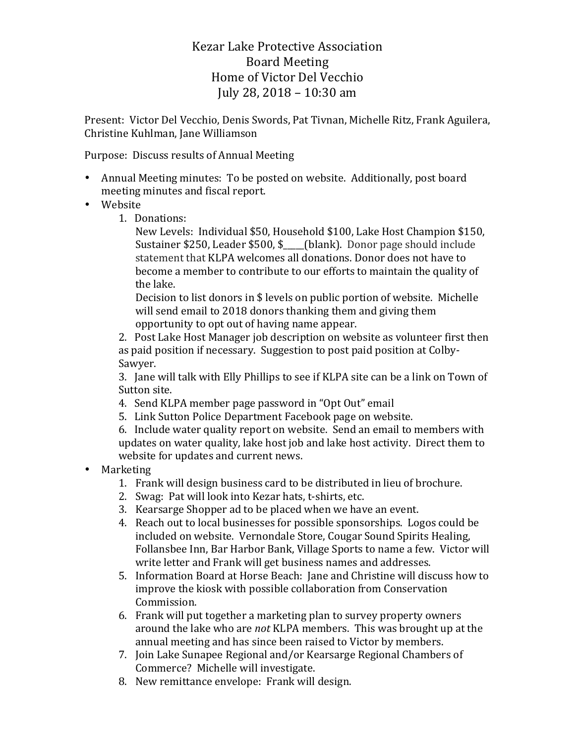Kezar Lake Protective Association Board Meeting Home of Victor Del Vecchio July 28, 2018 – 10:30 am

Present: Victor Del Vecchio, Denis Swords, Pat Tivnan, Michelle Ritz, Frank Aguilera, Christine Kuhlman, Jane Williamson

Purpose: Discuss results of Annual Meeting

- Annual Meeting minutes: To be posted on website. Additionally, post board meeting minutes and fiscal report.
- Website
	- 1. Donations:

New Levels: Individual \$50, Household \$100, Lake Host Champion \$150, Sustainer \$250, Leader  $$500,$  \$\_\_\_\_(blank). Donor page should include statement that KLPA welcomes all donations. Donor does not have to become a member to contribute to our efforts to maintain the quality of the lake.

Decision to list donors in \$ levels on public portion of website. Michelle will send email to 2018 donors thanking them and giving them opportunity to opt out of having name appear.

2. Post Lake Host Manager job description on website as volunteer first then as paid position if necessary. Suggestion to post paid position at Colby-Sawyer.

3. Jane will talk with Elly Phillips to see if KLPA site can be a link on Town of Sutton site.

- 4. Send KLPA member page password in "Opt Out" email
- 5. Link Sutton Police Department Facebook page on website.

6. Include water quality report on website. Send an email to members with updates on water quality, lake host job and lake host activity. Direct them to website for updates and current news.

- Marketing
	- 1. Frank will design business card to be distributed in lieu of brochure.
	- 2. Swag: Pat will look into Kezar hats, t-shirts, etc.
	- 3. Kearsarge Shopper ad to be placed when we have an event.
	- 4. Reach out to local businesses for possible sponsorships. Logos could be included on website. Vernondale Store, Cougar Sound Spirits Healing, Follansbee Inn, Bar Harbor Bank, Village Sports to name a few. Victor will write letter and Frank will get business names and addresses.
	- 5. Information Board at Horse Beach: Jane and Christine will discuss how to improve the kiosk with possible collaboration from Conservation Commission.
	- 6. Frank will put together a marketing plan to survey property owners around the lake who are *not* KLPA members. This was brought up at the annual meeting and has since been raised to Victor by members.
	- 7. Join Lake Sunapee Regional and/or Kearsarge Regional Chambers of Commerce? Michelle will investigate.
	- 8. New remittance envelope: Frank will design.